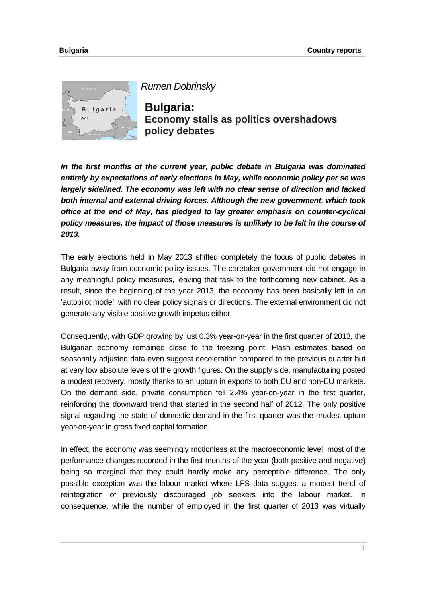

*Rumen Dobrinsky*

**Bulgaria: Economy stalls as politics overshadows policy debates**

*In the first months of the current year, public debate in Bulgaria was dominated entirely by expectations of early elections in May, while economic policy per se was largely sidelined. The economy was left with no clear sense of direction and lacked both internal and external driving forces. Although the new government, which took office at the end of May, has pledged to lay greater emphasis on counter-cyclical policy measures, the impact of those measures is unlikely to be felt in the course of 2013.* 

The early elections held in May 2013 shifted completely the focus of public debates in Bulgaria away from economic policy issues. The caretaker government did not engage in any meaningful policy measures, leaving that task to the forthcoming new cabinet. As a result, since the beginning of the year 2013, the economy has been basically left in an 'autopilot mode', with no clear policy signals or directions. The external environment did not generate any visible positive growth impetus either.

Consequently, with GDP growing by just 0.3% year-on-year in the first quarter of 2013, the Bulgarian economy remained close to the freezing point. Flash estimates based on seasonally adjusted data even suggest deceleration compared to the previous quarter but at very low absolute levels of the growth figures. On the supply side, manufacturing posted a modest recovery, mostly thanks to an upturn in exports to both EU and non-EU markets. On the demand side, private consumption fell 2.4% year-on-year in the first quarter, reinforcing the downward trend that started in the second half of 2012. The only positive signal regarding the state of domestic demand in the first quarter was the modest upturn year-on-year in gross fixed capital formation.

In effect, the economy was seemingly motionless at the macroeconomic level, most of the performance changes recorded in the first months of the year (both positive and negative) being so marginal that they could hardly make any perceptible difference. The only possible exception was the labour market where LFS data suggest a modest trend of reintegration of previously discouraged job seekers into the labour market. In consequence, while the number of employed in the first quarter of 2013 was virtually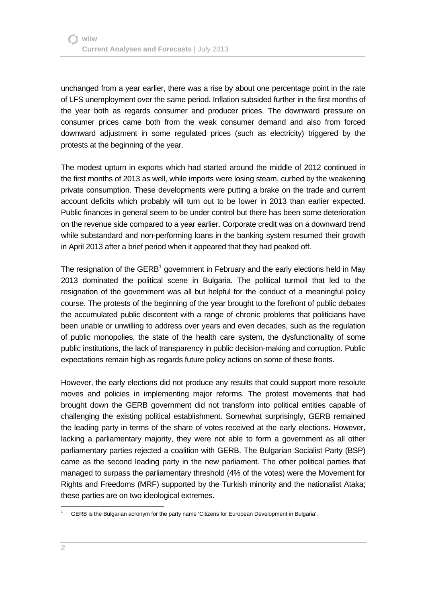unchanged from a year earlier, there was a rise by about one percentage point in the rate of LFS unemployment over the same period. Inflation subsided further in the first months of the year both as regards consumer and producer prices. The downward pressure on consumer prices came both from the weak consumer demand and also from forced downward adjustment in some regulated prices (such as electricity) triggered by the protests at the beginning of the year.

The modest upturn in exports which had started around the middle of 2012 continued in the first months of 2013 as well, while imports were losing steam, curbed by the weakening private consumption. These developments were putting a brake on the trade and current account deficits which probably will turn out to be lower in 2013 than earlier expected. Public finances in general seem to be under control but there has been some deterioration on the revenue side compared to a year earlier. Corporate credit was on a downward trend while substandard and non-performing loans in the banking system resumed their growth in April 2013 after a brief period when it appeared that they had peaked off.

The resignation of the  $GERB<sup>1</sup>$  government in February and the early elections held in May 2013 dominated the political scene in Bulgaria. The political turmoil that led to the resignation of the government was all but helpful for the conduct of a meaningful policy course. The protests of the beginning of the year brought to the forefront of public debates the accumulated public discontent with a range of chronic problems that politicians have been unable or unwilling to address over years and even decades, such as the regulation of public monopolies, the state of the health care system, the dysfunctionality of some public institutions, the lack of transparency in public decision-making and corruption. Public expectations remain high as regards future policy actions on some of these fronts.

However, the early elections did not produce any results that could support more resolute moves and policies in implementing major reforms. The protest movements that had brought down the GERB government did not transform into political entities capable of challenging the existing political establishment. Somewhat surprisingly, GERB remained the leading party in terms of the share of votes received at the early elections. However, lacking a parliamentary majority, they were not able to form a government as all other parliamentary parties rejected a coalition with GERB. The Bulgarian Socialist Party (BSP) came as the second leading party in the new parliament. The other political parties that managed to surpass the parliamentary threshold (4% of the votes) were the Movement for Rights and Freedoms (MRF) supported by the Turkish minority and the nationalist Ataka; these parties are on two ideological extremes.

l

<sup>1</sup> GERB is the Bulgarian acronym for the party name 'Citizens for European Development in Bulgaria'.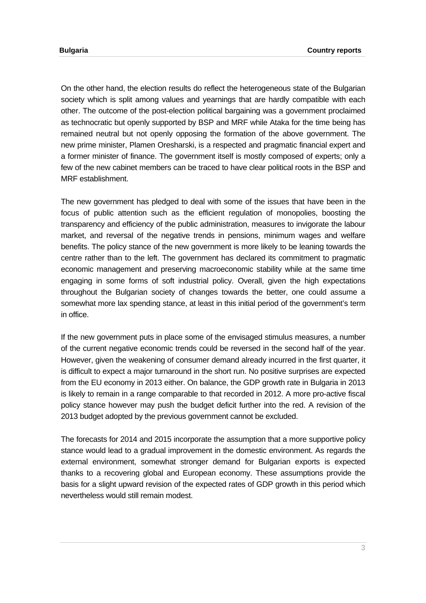On the other hand, the election results do reflect the heterogeneous state of the Bulgarian society which is split among values and yearnings that are hardly compatible with each other. The outcome of the post-election political bargaining was a government proclaimed as technocratic but openly supported by BSP and MRF while Ataka for the time being has remained neutral but not openly opposing the formation of the above government. The new prime minister, Plamen Oresharski, is a respected and pragmatic financial expert and a former minister of finance. The government itself is mostly composed of experts; only a few of the new cabinet members can be traced to have clear political roots in the BSP and MRF establishment.

The new government has pledged to deal with some of the issues that have been in the focus of public attention such as the efficient regulation of monopolies, boosting the transparency and efficiency of the public administration, measures to invigorate the labour market, and reversal of the negative trends in pensions, minimum wages and welfare benefits. The policy stance of the new government is more likely to be leaning towards the centre rather than to the left. The government has declared its commitment to pragmatic economic management and preserving macroeconomic stability while at the same time engaging in some forms of soft industrial policy. Overall, given the high expectations throughout the Bulgarian society of changes towards the better, one could assume a somewhat more lax spending stance, at least in this initial period of the government's term in office.

If the new government puts in place some of the envisaged stimulus measures, a number of the current negative economic trends could be reversed in the second half of the year. However, given the weakening of consumer demand already incurred in the first quarter, it is difficult to expect a major turnaround in the short run. No positive surprises are expected from the EU economy in 2013 either. On balance, the GDP growth rate in Bulgaria in 2013 is likely to remain in a range comparable to that recorded in 2012. A more pro-active fiscal policy stance however may push the budget deficit further into the red. A revision of the 2013 budget adopted by the previous government cannot be excluded.

The forecasts for 2014 and 2015 incorporate the assumption that a more supportive policy stance would lead to a gradual improvement in the domestic environment. As regards the external environment, somewhat stronger demand for Bulgarian exports is expected thanks to a recovering global and European economy. These assumptions provide the basis for a slight upward revision of the expected rates of GDP growth in this period which nevertheless would still remain modest.